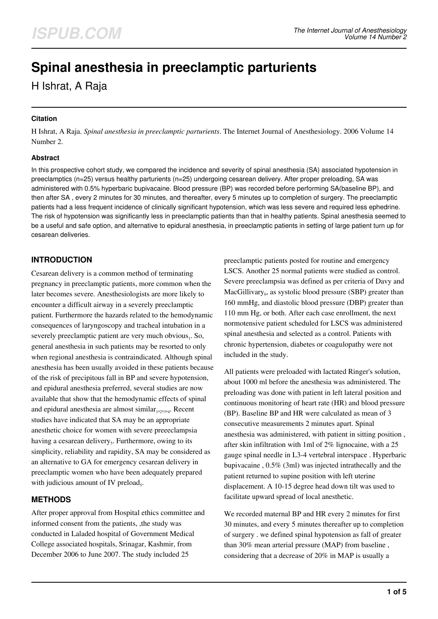# **Spinal anesthesia in preeclamptic parturients**

H Ishrat, A Raja

#### **Citation**

H Ishrat, A Raja. *Spinal anesthesia in preeclamptic parturients*. The Internet Journal of Anesthesiology. 2006 Volume 14 Number 2.

#### **Abstract**

In this prospective cohort study, we compared the incidence and severity of spinal anesthesia (SA) associated hypotension in preeclamptics (n=25) versus healthy parturients (n=25) undergoing cesarean delivery. After proper preloading, SA was administered with 0.5% hyperbaric bupivacaine. Blood pressure (BP) was recorded before performing SA(baseline BP), and then after SA , every 2 minutes for 30 minutes, and thereafter, every 5 minutes up to completion of surgery. The preeclamptic patients had a less frequent incidence of clinically significant hypotension, which was less severe and required less ephedrine. The risk of hypotension was significantly less in preeclamptic patients than that in healthy patients. Spinal anesthesia seemed to be a useful and safe option, and alternative to epidural anesthesia, in preeclamptic patients in setting of large patient turn up for cesarean deliveries.

## **INTRODUCTION**

Cesarean delivery is a common method of terminating pregnancy in preeclamptic patients, more common when the later becomes severe. Anesthesiologists are more likely to encounter a difficult airway in a severely preeclamptic patient. Furthermore the hazards related to the hemodynamic consequences of laryngoscopy and tracheal intubation in a severely preeclamptic patient are very much obvious,. So, general anesthesia in such patients may be resorted to only when regional anesthesia is contraindicated. Although spinal anesthesia has been usually avoided in these patients because of the risk of precipitous fall in BP and severe hypotension, and epidural anesthesia preferred, several studies are now available that show that the hemodynamic effects of spinal and epidural anesthesia are almost similar<sub>1,2,3,4</sub>. Recent studies have indicated that SA may be an appropriate anesthetic choice for women with severe preeeclampsia having a cesarean delivery<sub>s</sub>. Furthermore, owing to its simplicity, reliability and rapidity, SA may be considered as an alternative to GA for emergency cesarean delivery in preeclamptic women who have been adequately prepared with judicious amount of IV preload<sub>5</sub>.

# **METHODS**

After proper approval from Hospital ethics committee and informed consent from the patients, ,the study was conducted in Laladed hospital of Government Medical College associated hospitals, Srinagar, Kashmir, from December 2006 to June 2007. The study included 25

preeclamptic patients posted for routine and emergency LSCS. Another 25 normal patients were studied as control. Severe preeclampsia was defined as per criteria of Davy and MacGillivary<sub>6</sub>, as systolic blood pressure (SBP) greater than 160 mmHg, and diastolic blood pressure (DBP) greater than 110 mm Hg, or both. After each case enrollment, the next normotensive patient scheduled for LSCS was administered spinal anesthesia and selected as a control. Patients with chronic hypertension, diabetes or coagulopathy were not included in the study.

All patients were preloaded with lactated Ringer's solution, about 1000 ml before the anesthesia was administered. The preloading was done with patient in left lateral position and continuous monitoring of heart rate (HR) and blood pressure (BP). Baseline BP and HR were calculated as mean of 3 consecutive measurements 2 minutes apart. Spinal anesthesia was administered, with patient in sitting position , after skin infiltration with 1ml of 2% lignocaine, with a 25 gauge spinal needle in L3-4 vertebral interspace . Hyperbaric bupivacaine , 0.5% (3ml) was injected intrathecally and the patient returned to supine position with left uterine displacement. A 10-15 degree head down tilt was used to facilitate upward spread of local anesthetic.

We recorded maternal BP and HR every 2 minutes for first 30 minutes, and every 5 minutes thereafter up to completion of surgery . we defined spinal hypotension as fall of greater than 30% mean arterial pressure (MAP) from baseline , considering that a decrease of 20% in MAP is usually a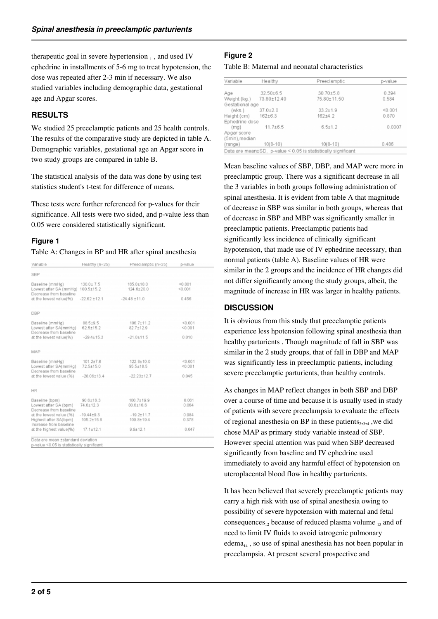therapeutic goal in severe hypertension  $<sub>1</sub>$ , and used IV</sub> ephedrine in installments of 5-6 mg to treat hypotension, the dose was repeated after 2-3 min if necessary. We also studied variables including demographic data, gestational age and Apgar scores.

# **RESULTS**

We studied 25 preeclamptic patients and 25 health controls. The results of the comparative study are depicted in table A. Demographic variables, gestational age an Apgar score in two study groups are compared in table B.

The statistical analysis of the data was done by using test statistics student's t-test for difference of means.

These tests were further referenced for p-values for their significance. All tests were two sided, and p-value less than 0.05 were considered statistically significant.

## **Figure 1**

Table A: Changes in BP and HR after spinal anesthesia

| Variable                                                                        | Healthy (n=25)                     | Preeclamptic (n=25)               | p-value            |  |
|---------------------------------------------------------------------------------|------------------------------------|-----------------------------------|--------------------|--|
| <b>SBP</b>                                                                      |                                    |                                   |                    |  |
| Baseline (mmHg)<br>Lowest after SA (mmHg)<br>Decrease from baseline             | $130.0 \pm 7.5$<br>100.5±15.2      | $165.0 + 18.0$<br>124.6±20.0      | < 0.001<br>< 0.001 |  |
| at the lowest value(%)                                                          | $-22.62 \pm 12.1$                  | $-24.48 \pm 11.0$                 | 0.456              |  |
| <b>DBP</b>                                                                      |                                    |                                   |                    |  |
| Baseline (mmHg)<br>Lowest after SA(mmHg)<br>Decrease from baseline              | 88.5±9.5<br>$62.5 \pm 15.2$        | $106.7 + 11.2$<br>$82.7 \pm 12.9$ | < 0.001<br>< 0.001 |  |
| at the lowest value(%)                                                          | $-29.4 + 15.3$                     | $-21.0 \pm 11.5$                  | 0.010              |  |
| MAP                                                                             |                                    |                                   |                    |  |
| Baseline (mmHg)<br>Lowest after SA(mmHg)<br>Decrease from baseline              | $101.2{\pm}7.6$<br>$72.5 + 15.0$   | $122.8 \pm 10.0$<br>$95.5 + 16.5$ | < 0.001<br>< 0.001 |  |
| at the lowest value (%)                                                         | $-28.06 + 13.4$                    | $-22.23 + 12.7$                   | 0.045              |  |
| HR                                                                              |                                    |                                   |                    |  |
| Baseline (bpm)<br>Lowest after SA (bpm)<br>Decrease from baseline               | $90.6{\pm}16.3$<br>$74.6 + 12.3$   | $100.7 \pm 19.9$<br>80.6±16.6     | 0.061<br>0.064     |  |
| at the lowest value (%)<br>Highest after SA(bpm)                                | $-19.44 + 9.3$<br>$105.2{\pm}15.8$ | $-19.2 + 11.7$<br>$109.8 + 19.4$  | 0.984<br>0.378     |  |
| Increase from baseline<br>at the highest value(%)                               | $17.1 + 12.1$                      | $9.9 + 12.1$                      | 0.047              |  |
| Data are mean +standard deviation<br>p-value <0.05 is statistically significant |                                    |                                   |                    |  |

## **Figure 2**

Table B: Maternal and neonatal characteristics

| Variable        | Healthy       | Preeclamptic                                                  | p-value |
|-----------------|---------------|---------------------------------------------------------------|---------|
|                 |               |                                                               |         |
| Age             | $32.50\pm6.5$ | $30.70{\pm}5.8$                                               | 0.394   |
| Weight (kg.)    | 73.80±12.40   | 75.80±11.50                                                   | 0.584   |
| Gestational age |               |                                                               |         |
| (wks.)          | $37.0 + 2.0$  | $33.2 + 1.9$                                                  | < 0.001 |
| Height (cm)     | $162 + 6.3$   | $162 + 4.2$                                                   | 0.870   |
| Ephedrine dose  |               |                                                               |         |
| (mq)            | $11.7 + 6.5$  | $6.5 \pm 1.2$                                                 | 0.0007  |
| Apgar score     |               |                                                               |         |
| (5min), median  |               |                                                               |         |
| (range)         | $10(8 - 10)$  | $10(8-10)$                                                    | 0.486   |
|                 |               | Data are mean±SD, p-value < 0.05 is statistically significant |         |

Mean baseline values of SBP, DBP, and MAP were more in preeclamptic group. There was a significant decrease in all the 3 variables in both groups following administration of spinal anesthesia. It is evident from table A that magnitude of decrease in SBP was similar in both groups, whereas that of decrease in SBP and MBP was significantly smaller in preeclamptic patients. Preeclamptic patients had significantly less incidence of clinically significant hypotension, that made use of IV ephedrine necessary, than normal patients (table A). Baseline values of HR were similar in the 2 groups and the incidence of HR changes did not differ significantly among the study groups, albeit, the magnitude of increase in HR was larger in healthy patients.

## **DISCUSSION**

It is obvious from this study that preeclamptic patients experience less hpotension following spinal anesthesia than healthy parturients . Though magnitude of fall in SBP was similar in the 2 study groups, that of fall in DBP and MAP was significantly less in preeclamptic patients, including severe preeclamptic parturients, than healthy controls.

As changes in MAP reflect changes in both SBP and DBP over a course of time and because it is usually used in study of patients with severe preeclampsia to evaluate the effects of regional anesthesia on BP in these patients $_{2,3,4}$ , we did chose MAP as primary study variable instead of SBP. However special attention was paid when SBP decreased significantly from baseline and IV ephedrine used immediately to avoid any harmful effect of hypotension on uteroplacental blood flow in healthy parturients.

It has been believed that severely preeclamptic patients may carry a high risk with use of spinal anesthesia owing to possibility of severe hypotension with maternal and fetal consequences<sub>12</sub> because of reduced plasma volume  $_{13}$  and of need to limit IV fluids to avoid iatrogenic pulmonary edema<sub>14</sub>, so use of spinal anesthesia has not been popular in preeclampsia. At present several prospective and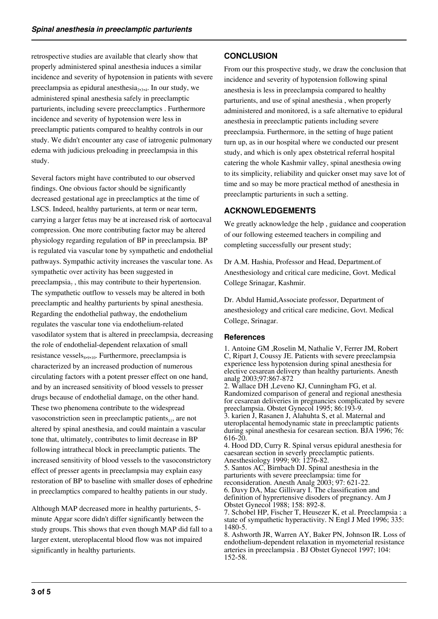retrospective studies are available that clearly show that properly administered spinal anesthesia induces a similar incidence and severity of hypotension in patients with severe preeclampsia as epidural anesthesia<sub>2,3,4</sub>. In our study, we administered spinal anesthesia safely in preeclamptic parturients, including severe preecclamptics . Furthermore incidence and severity of hypotension were less in preeclamptic patients compared to healthy controls in our study. We didn't encounter any case of iatrogenic pulmonary edema with judicious preloading in preeclampsia in this study.

Several factors might have contributed to our observed findings. One obvious factor should be significantly decreased gestational age in preeclamptics at the time of LSCS. Indeed, healthy parturients, at term or near term, carrying a larger fetus may be at increased risk of aortocaval compression. One more contributing factor may be altered physiology regarding regulation of BP in preeclampsia. BP is regulated via vascular tone by sympathetic and endothelial pathways. Sympathic activity increases the vascular tone. As sympathetic over activity has been suggested in preeclampsia $_7$ , this may contribute to their hypertension. The sympathetic outflow to vessels may be altered in both preeclamptic and healthy parturients by spinal anesthesia. Regarding the endothelial pathway, the endothelium regulates the vascular tone via endothelium-related vasodilator system that is altered in preeclampsia, decreasing the role of endothelial-dependent relaxation of small resistance vessels<sub>8,9,10</sub>. Furthermore, preeclampsia is characterized by an increased production of numerous circulating factors with a potent presser effect on one hand, and by an increased sensitivity of blood vessels to presser drugs because of endothelial damage, on the other hand. These two phenomena contribute to the widespread vasoconstriction seen in preeclamptic patients $_{11}$ , are not altered by spinal anesthesia, and could maintain a vascular tone that, ultimately, contributes to limit decrease in BP following intrathecal block in preeclamptic patients. The increased sensitivity of blood vessels to the vasoconstrictory effect of presser agents in preeclampsia may explain easy restoration of BP to baseline with smaller doses of ephedrine in preeclamptics compared to healthy patients in our study.

Although MAP decreased more in healthy parturients, 5 minute Apgar score didn't differ significantly between the study groups. This shows that even though MAP did fall to a larger extent, uteroplacental blood flow was not impaired significantly in healthy parturients.

# **CONCLUSION**

From our this prospective study, we draw the conclusion that incidence and severity of hypotension following spinal anesthesia is less in preeclampsia compared to healthy parturients, and use of spinal anesthesia , when properly administered and monitored, is a safe alternative to epidural anesthesia in preeclamptic patients including severe preeclampsia. Furthermore, in the setting of huge patient turn up, as in our hospital where we conducted our present study, and which is only apex obstetrical referral hospital catering the whole Kashmir valley, spinal anesthesia owing to its simplicity, reliability and quicker onset may save lot of time and so may be more practical method of anesthesia in preeclamptic parturients in such a setting.

# **ACKNOWLEDGEMENTS**

We greatly acknowledge the help , guidance and cooperation of our following esteemed teachers in compiling and completing successfully our present study;

Dr A.M. Hashia, Professor and Head, Department.of Anesthesiology and critical care medicine, Govt. Medical College Srinagar, Kashmir.

Dr. Abdul Hamid,Associate professor, Department of anesthesiology and critical care medicine, Govt. Medical College, Srinagar.

#### **References**

1. Antoine GM ,Roselin M, Nathalie V, Ferrer JM, Robert C, Ripart J, Coussy JE. Patients with severe preeclampsia experience less hypotension during spinal anesthesia for elective cesarean delivery than healthy parturients. Anesth analg 2003;97:867-872

2. Wallace DH ,Leveno KJ, Cunningham FG, et al. Randomized comparison of general and regional anesthesia for cesarean deliveries in pregnancies complicated by severe preeclampsia. Obstet Gynecol 1995; 86:193-9.

3. karien J, Rasanen J, Alahuhta S, et al. Maternal and uteroplacental hemodynamic state in preeclamptic patients during spinal anesthesia for cesarean section. BJA 1996; 76: 616-20.

4. Hood DD, Curry R. Spinal versus epidural anesthesia for caesarean section in severly preeclamptic patients. Anesthesiology 1999; 90: 1276-82.

5. Santos AC, Birnbach DJ. Spinal anesthesia in the parturients with severe preeclampsia: time for reconsideration. Anesth Analg 2003; 97: 621-22.

6. Davy DA, Mac Gillivary I. The classification and definition of hyprertensive disoders of pregnancy. Am J Obstet Gynecol 1988; 158: 892-8.

7. Schobel HP, Fischer T, Heusezer K, et al. Preeclampsia : a state of sympathetic hyperactivity. N Engl J Med 1996; 335: 1480-5.

8. Ashworth JR, Warren AY, Baker PN, Johnson IR. Loss of endothelium-dependent relaxation in myometerial resistance arteries in preeclampsia . BJ Obstet Gynecol 1997; 104: 152-58.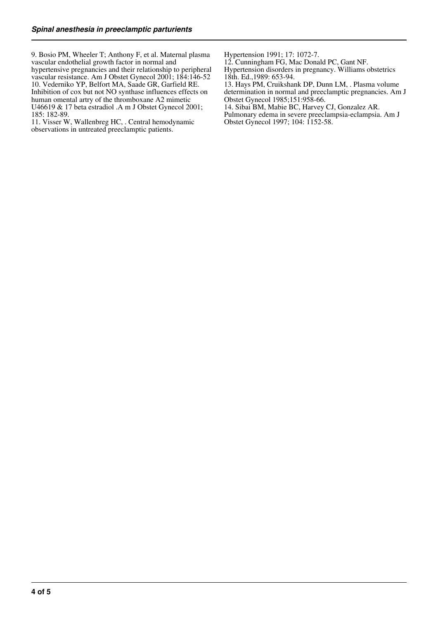9. Bosio PM, Wheeler T; Anthony F, et al. Maternal plasma vascular endothelial growth factor in normal and hypertensive pregnancies and their relationship to peripheral vascular resistance. Am J Obstet Gynecol 2001; 184:146-52 10. Vederniko YP, Belfort MA, Saade GR, Garfield RE. Inhibition of cox but not NO synthase influences effects on human omental artry of the thromboxane A2 mimetic U46619 & 17 beta estradiol .A m J Obstet Gynecol 2001; 185: 182-89.

11. Visser W, Wallenbreg HC, . Central hemodynamic observations in untreated preeclamptic patients.

Hypertension 1991; 17: 1072-7.

12. Cunningham FG, Mac Donald PC, Gant NF. Hypertension disorders in pregnancy. Williams obstetrics 18th. Ed.,1989: 653-94.

13. Hays PM, Cruikshank DP, Dunn LM, . Plasma volume determination in normal and preeclamptic pregnancies. Am J Obstet Gynecol 1985;151:958-66.

14. Sibai BM, Mabie BC, Harvey CJ, Gonzalez AR.

Pulmonary edema in severe preeclampsia-eclampsia. Am J Obstet Gynecol 1997; 104: 1152-58.